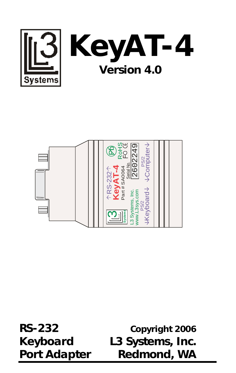



**RS-232 Copyright 2006 Keyboard L3 Systems, Inc. Port Adapter Redmond, WA**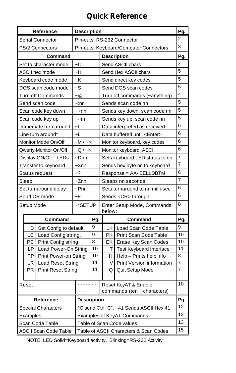### **Quick Reference**

|                                        |            | Reference                    | <b>Description</b>         |                                                 |                                          |                                                          |                                  |  |  |
|----------------------------------------|------------|------------------------------|----------------------------|-------------------------------------------------|------------------------------------------|----------------------------------------------------------|----------------------------------|--|--|
|                                        |            | <b>Serial Connector</b>      | Pin-outs: RS-232 Connector |                                                 |                                          |                                                          |                                  |  |  |
| <b>PS/2 Connectors</b>                 |            |                              |                            | Pin-outs: Keyboard/Computer Connectors          |                                          |                                                          |                                  |  |  |
|                                        |            | Command                      |                            |                                                 |                                          | <b>Description</b>                                       | Pg.                              |  |  |
| Set to character mode                  |            |                              | ~C                         |                                                 | Send ASCII chars                         |                                                          |                                  |  |  |
| ASCII hex mode                         |            |                              | $-H$                       |                                                 |                                          | Send Hex ASCII chars                                     |                                  |  |  |
| Keyboard code mode                     |            |                              | $-K$                       |                                                 | Send direct key codes                    |                                                          |                                  |  |  |
| DOS scan code mode                     |            |                              | $\sim S$                   |                                                 | Send DOS scan codes                      |                                                          |                                  |  |  |
|                                        |            | <b>Turn off Commands</b>     | $\sim\textcircled{a}$      |                                                 |                                          | Turn off commands (~anything)                            | $\overline{4}$                   |  |  |
|                                        |            | Send scan code               | ~:nn                       |                                                 |                                          | Sends scan code nn                                       | 5                                |  |  |
|                                        |            | Scan code key down           | ~+nn                       |                                                 |                                          | Sends key down, scan code nn                             | 5                                |  |  |
|                                        |            | Scan code key up             | $\sim$ -nn                 |                                                 |                                          | Sends key up, scan code nn                               | 5                                |  |  |
|                                        |            | Immediate turn around        | $\sim$                     |                                                 |                                          | Data interpreted as received                             | 6                                |  |  |
|                                        |            | Line turn around*            | $-L$                       |                                                 |                                          | Data buffered until <enter></enter>                      | 6                                |  |  |
|                                        |            | Monitor Mode On/Off          | $-M/-N$                    |                                                 |                                          | Monitor keyboard, key codes                              | 6                                |  |  |
|                                        |            | Qwerty Monitor On/Off        | $-Q / -N$                  |                                                 |                                          | Monitor keyboard, ASCII                                  | 6                                |  |  |
|                                        |            | Display ON/OFF LEDs          | ~Dnn                       |                                                 | Sets keyboard LED status to nn           |                                                          |                                  |  |  |
|                                        |            | Transfer to keyboard         | $-\times$ nn               |                                                 | Sends hex byte nn to keyboard            |                                                          |                                  |  |  |
|                                        |            | Status request               | $-2$                       |                                                 | Response = AA-EELLDBTM                   |                                                          |                                  |  |  |
|                                        | Sleep      |                              | ~Znn                       |                                                 | Sleeps nn seconds                        |                                                          |                                  |  |  |
| Set turnaround delay                   |            |                              | $\neg Pnn$                 |                                                 |                                          | Sets turnaround to nn milli-sec                          | 6                                |  |  |
|                                        |            | Send CR mode                 | $-F$                       |                                                 |                                          | Sends <cr> through</cr>                                  | 6                                |  |  |
|                                        | Setup Mode |                              |                            | ~*SETUP<br>Enter Setup Mode, Commands<br>below: |                                          |                                                          | 8                                |  |  |
|                                        |            | <b>Command</b>               |                            | Pg.                                             |                                          | Command                                                  | Pg.                              |  |  |
|                                        | D          | Set Config to default        |                            | 9                                               |                                          | LK Load Scan Code Table                                  | 9                                |  |  |
|                                        | LC         | Load Config string,          |                            | 9                                               | PK.                                      | Print Scan Code Table                                    | 10                               |  |  |
|                                        | PC         | Print Config string          |                            | 8                                               | EK                                       | Erase Key Scan Codes                                     | 10                               |  |  |
|                                        | LP         | Load Power-On String         |                            | 10                                              | т                                        | <b>Test Keyboard Interface</b>                           | 11                               |  |  |
|                                        | PP         | <b>Print Power-on String</b> |                            | 10                                              | H.                                       | Help - Prints help info                                  | 8                                |  |  |
|                                        | LR         | <b>Load Reset String</b>     |                            | 11<br>11                                        | V                                        | Print Version information                                | $\overline{7}$<br>$\overline{7}$ |  |  |
| PR<br><b>Print Reset String</b>        |            |                              |                            | Q                                               | Quit Setup Mode                          |                                                          |                                  |  |  |
|                                        |            |                              |                            |                                                 |                                          |                                                          | 10                               |  |  |
|                                        | Reset      |                              |                            |                                                 |                                          | Reset KeyAT & Enable<br>commands (ten $\sim$ characters) |                                  |  |  |
| <b>Reference</b><br><b>Description</b> |            |                              |                            |                                                 |                                          |                                                          | Pg.                              |  |  |
| <b>Special Characters</b>              |            |                              |                            |                                                 | ^C send Ctrl "C", ~41 Sends ASCII Hex 41 |                                                          |                                  |  |  |
| Examples                               |            |                              |                            |                                                 | <b>Examples of KeyAT Commands</b>        |                                                          |                                  |  |  |
| Scan Code Table                        |            |                              |                            |                                                 | Table of Scan Code values                |                                                          |                                  |  |  |
| <b>ASCII Scan Code Table</b>           |            |                              |                            | Table of ASCII Characters & Scan Codes          |                                          |                                                          |                                  |  |  |
|                                        |            |                              |                            |                                                 |                                          |                                                          |                                  |  |  |

NOTE: LED Solid=Keyboard activity, Blinking=RS-232 Activity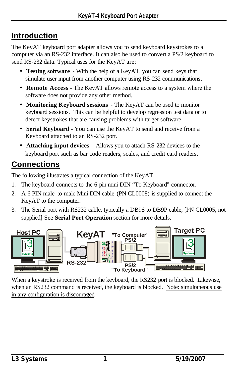### **Introduction**

The KeyAT keyboard port adapter allows you to send keyboard keystrokes to a computer via an RS-232 interface. It can also be used to convert a PS/2 keyboard to send RS-232 data. Typical uses for the KeyAT are:

- **Testing software** With the help of a KeyAT, you can send keys that simulate user input from another computer using RS-232 communications.
- **Remote Access -** The KeyAT allows remote access to a system where the software does not provide any other method.
- **Monitoring Keyboard sessions** The KeyAT can be used to monitor keyboard sessions. This can be helpful to develop regression test data or to detect keystrokes that are causing problems with target software.
- **Serial Keyboard** You can use the KeyAT to send and receive from a Keyboard attached to an RS-232 port.
- **Attaching input devices** Allows you to attach RS-232 devices to the keyboard port such as bar code readers, scales, and credit card readers.

### **Connections**

The following illustrates a typical connection of the KeyAT.

- 1. The keyboard connects to the 6-pin mini-DIN "To Keyboard" connector.
- 2. A 6 PIN male -to-male Mini-DIN cable (PN CL0008) is supplied to connect the KeyAT to the computer.
- 3. The Serial port with RS232 cable, typically a DB9S to DB9P cable, [PN CL0005, not supplied] See **Serial Port Operation** section for more details.



When a keystroke is received from the keyboard, the RS232 port is blocked. Likewise, when an RS232 command is received, the keyboard is blocked. Note: simultaneous use in any configuration is discouraged.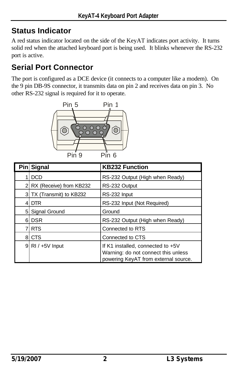# **Status Indicator**

A red status indicator located on the side of the KeyAT indicates port activity. It turns solid red when the attached keyboard port is being used. It blinks whenever the RS-232 port is active.

# **Serial Port Connector**

The port is configured as a DCE device (it connects to a computer like a modem). On the 9 pin DB-9S connector, it transmits data on pin 2 and receives data on pin 3. No other RS-232 signal is required for it to operate.



|    | Pin Signal               | <b>KB232 Function</b>                                                                                            |
|----|--------------------------|------------------------------------------------------------------------------------------------------------------|
|    | <b>DCD</b>               | RS-232 Output (High when Ready)                                                                                  |
| 21 | RX (Receive) from KB232  | RS-232 Output                                                                                                    |
|    | 3 TX (Transmit) to KB232 | RS-232 Input                                                                                                     |
| 41 | <b>DTR</b>               | RS-232 Input (Not Required)                                                                                      |
|    | 5 Signal Ground          | Ground                                                                                                           |
| 61 | <b>DSR</b>               | RS-232 Output (High when Ready)                                                                                  |
|    | <b>RTS</b>               | Connected to RTS                                                                                                 |
|    | 8 CTS                    | Connected to CTS                                                                                                 |
|    | $9$ RI / $+5V$ Input     | If K1 installed, connected to +5V<br>Warning: do not connect this unless<br>powering KeyAT from external source. |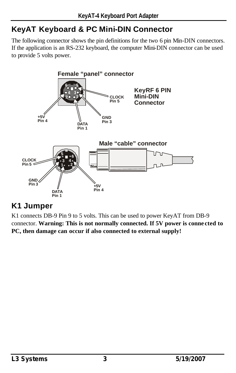# **KeyAT Keyboard & PC Mini-DIN Connector**

The following connector shows the pin definitions for the two 6 pin Min-DIN connectors. If the application is an RS-232 keyboard, the computer Mini-DIN connector can be used to provide 5 volts power.



### **K1 Jumper**

K1 connects DB-9 Pin 9 to 5 volts. This can be used to power KeyAT from DB-9 connector. **Warning: This is not normally connected. If 5V power is conne cted to PC, then damage can occur if also connected to external supply!**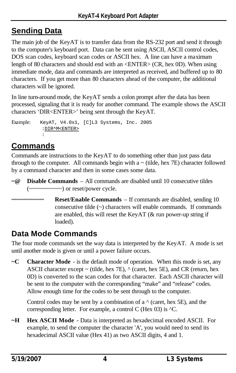# **Sending Data**

The main job of the KeyAT is to transfer data from the RS-232 port and send it through to the computer's keyboard port. Data can be sent using ASCII, ASCII control codes, DOS scan codes, keyboard scan codes or ASCII hex. A line can have a maximum length of 80 characters and should end with an <ENTER> (CR, hex 0D). When using immediate mode, data and commands are interpreted as received, and buffered up to 80 characters. If you get more than 80 characters ahead of the computer, the additional characters will be ignored.

In line turn-around mode, the KeyAT sends a colon prompt after the data has been processed, signaling that it is ready for another command. The example shows the ASCII characters 'DIR<ENTER>' being sent through the KeyAT.

Example: KeyAT, V4.0x1, [C]L3 Systems, Inc. 2005 :DIR^M<ENTER> :

# **Commands**

Commands are instructions to the KeyAT to do something other than just pass data through to the computer. All commands begin with  $a \sim$  (tilde, hex  $7E$ ) character followed by a command character and then in some cases some data.

- **~@ Disable Commands** All commands are disabled until 10 consecutive tildes  $(\sim \sim \sim \sim \sim \sim \sim \sim)$  or reset/power cycle.
	- **Reset/Enable Commands** If commands are disabled, sending 10 consecutive tilde (~) characters will enable commands. If commands are enabled, this will reset the KeyAT (& run power-up string if loaded).

# **Data Mode Commands**

The four mode commands set the way data is interpreted by the KeyAT. A mode is set until another mode is given or until a power failure occurs.

**~C Character Mode** - is the default mode of operation. When this mode is set, any ASCII character except  $\sim$  (tilde, hex 7E),  $\land$  (caret, hex 5E), and CR (return, hex 0D) is converted to the scan codes for that character. Each ASCII character will be sent to the computer with the corresponding "make" and "release" codes. Allow enough time for the codes to be sent through to the computer.

Control codes may be sent by a combination of a  $\land$  (caret, hex 5E), and the corresponding letter. For example, a control C (Hex  $03$ ) is  ${}^{\wedge}$ C.

**~H Hex ASCII Mode** - Data is interpreted as hexadecimal encoded ASCII. For example, to send the computer the character 'A', you would need to send its hexadecimal ASCII value (Hex 41) as two ASCII digits, 4 and 1.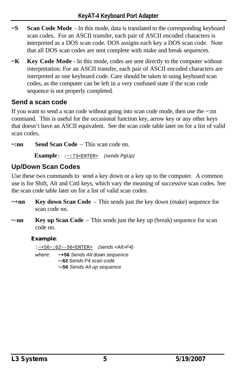- **~S Scan Code Mode** In this mode, data is translated to the corresponding keyboard scan codes. For an ASCII transfer, each pair of ASCII encoded characters is interpreted as a DOS scan code. DOS assigns each key a DOS scan code. Note that all DOS scan codes are sent complete with make and break sequences.
- **~K Key Code Mode**  In this mode, codes are sent directly to the computer without interpretation. For an ASCII transfer, each pair of ASCII encoded characters are interpreted as one keyboard code. Care should be taken in using keyboard scan codes, as the computer can be left in a very confused state if the scan code sequence is not properly completed.

### **Send a scan code**

If you want to send a scan code without going into scan code mode, then use the ~:nn command. This is useful for the occasional function key, arrow key or any other keys that doesn't have an ASCII equivalent. See the scan code table later on for a list of valid scan codes.

**~:nn Send Scan Code** – This scan code nn.

 **Example** : :~:73<ENTER> *(sends PgUp)*

### **Up/Down Scan Codes**

Use these two commands to send a key down or a key up to the computer. A common use is for Shift, Alt and Cntl keys, which vary the meaning of successive scan codes. See the scan code table later on for a list of valid scan codes.

- **~+nn Key down Scan Code** This sends just the key down (make) sequence for scan code nn.
- **~-nn Key up Scan Code** This sends just the key up (break) sequence for scan code nn.

#### **Example**:

:~+56~:62~-56<ENTER> *(sends <Alt>F4) where:* **~+56** *Sends Alt down sequence* **~:62** *Sends F4 scan code* **~-56** *Sends Alt up sequence*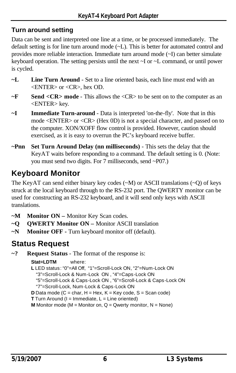### **Turn around setting**

Data can be sent and interpreted one line at a time, or be processed immediately. The default setting is for line turn around mode (~L). This is better for automated control and provides more reliable interaction. Immediate turn around mode (~I) can better simulate keyboard operation. The setting persists until the next ~I or ~L command, or until power is cycled.

- **~L Line Turn Around** Set to a line oriented basis, each line must end with an <ENTER> or <CR>, hex OD.
- **~F Send <CR> mode**  This allows the <CR> to be sent on to the computer as an <ENTER> key.
- **~I Immediate Turn-around** Data is interpreted 'on-the-fly'. Note that in this mode <ENTER> or <CR> (Hex 0D) is not a special character, and passed on to the computer. XON/XOFF flow control is provided. However, caution should exercised, as it is easy to overrun the PC's keyboard receive buffer.
- **~Pnn Set Turn Around Delay (nn milliseconds)**  This sets the delay that the KeyAT waits before responding to a command. The default setting is 0. (Note: you must send two digits. For 7 milliseconds, send ~P07.)

# **Keyboard Monitor**

The KeyAT can send either binary key codes  $(\sim M)$  or ASCII translations  $(\sim Q)$  of keys struck at the local keyboard through to the RS-232 port. The QWERTY monitor can be used for constructing an RS-232 keyboard, and it will send only keys with ASCII translations.

- **~M Monitor ON –** Monitor Key Scan codes.
- **~Q QWERTY Monitor ON –** Monitor ASCII translation
- **~N Monitor OFF -** Turn keyboard monitor off (default).

# **Status Request**

**~? Request Status** - The format of the response is:

**Stat=LDTM** where: **L** LED status: "0"=All Off, "1"=Scroll-Lock ON, "2"=Num-Lock ON "3"=Scroll-Lock & Num-Lock ON , "4"=Caps-Lock ON "5"=Scroll-Lock & Caps-Lock ON , "6"=Scroll-Lock & Caps-Lock ON "7"=Scroll-Lock, Num-Lock & Caps-Lock ON **D** Data mode ( $C = char$ ,  $H = Hex$ ,  $K = Key code$ ,  $S = Scan code$ ) **T** Turn Around ( $I = I$ mmediate,  $L =$  Line oriented) **M** Monitor mode ( $M =$  Monitor on,  $Q =$  Qwerty monitor,  $N =$  None)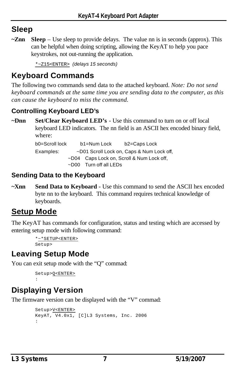### **Sleep**

**~Znn Sleep** – Use sleep to provide delays. The value nn is in seconds (approx). This can be helpful when doing scripting, allowing the KeyAT to help you pace keystrokes, not out-running the application.

\*~Z15<ENTER> *(delays 15 seconds)*

### **Keyboard Commands**

The following two commands send data to the attached keyboard. *Note: Do not send keyboard commands at the same time you are sending data to the computer, as this can cause the keyboard to miss the command.*

### **Controlling Keyboard LED's**

**~Dnn Set/Clear Keyboard LED's** - Use this command to turn on or off local keyboard LED indicators. The nn field is an ASCII hex encoded binary field, where:

> b0=Scroll lock b1=Num Lock b2=Caps Lock Examples: ~D01 Scroll Lock on, Caps & Num Lock off, ~D04 Caps Lock on, Scroll & Num Lock off, ~D00 Turn off all LEDs

### **Sending Data to the Keyboard**

**~Xnn Send Data to Keyboard** - Use this command to send the ASCII hex encoded byte nn to the keyboard. This command requires technical knowledge of keyboards.

# **Setup Mode**

The KeyAT has commands for configuration, status and testing which are accessed by entering setup mode with following command:

```
*~*SETUP<ENTER>
Setup>
```
### **Leaving Setup Mode**

You can exit setup mode with the "Q" commad:

Setup>Q<ENTER> :

# **Displaying Version**

The firmware version can be displayed with the "V" commad:

```
Setup>V<ENTER>
KeyAT, V4.0x1, [C]L3 Systems, Inc. 2006
:
```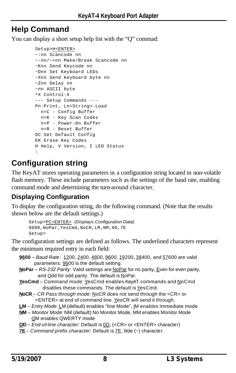### **Help Command**

You can display a short setup help list with the "Q" commad:

```
Setup>H<ENTER>
~:nn Scancode nn
~-nn/~+nn Make/Break Scancode nn
~Knn Send Keycode nn
~Dnn Set Keyboard LEDs
~Xnn Send Keyboard byte nn
~Znn Delay nn
~nn ASCII byte
^X Control-X
--- Setup Commands ---
Pn-Print, Ln<String>-Load
  n=C - Config Buffer
  n=K - Key Scan Codes
  n=P - Power-On Buffer
  n=R - Reset Buffer
DC Set Default Config
EK Erase Key Codes
H Help, V Version, I LED Status
:
```
### **Configuration string**

The KeyAT stores operating parameters in a configuration string located in non-volatile flash memory. These include parameters such as the settings of the baud rate, enabling command mode and determining the turn-around character.

### **Displaying Configuration**

To display the configuration string, do the following command. (Note that the results shown below are the default settings.)

```
Setup>PC<ENTER> (Displays Configuration Data)
9600,NoPar,YesCmd,NoCR,LM,NM,0D,7E
Setup>
```
The configuration settings are defined as follows. The underlined characters represent the minimum required entry in each field:

- **9600** *Baud Rate*: 1200, 2400, 4800, 9600, 19200, 38400, and 57600 are valid parameters. 9600 is the default setting.
- **NoPar** *RS-232 Parity*: Valid settings are NoPar for no parity, Even for even parity, and Odd for odd parity. The default is NoPar.
- **YesCmd** *Command mode*: YesCmd enables KeyAT commands and NoCmd disables these commands. The default is YesCmd.
- **NoCR** *CR Pass through mode*: NoCR does not send through the <CR> or <ENTER> at end of command line. YesCR will send it through.
- **LM** *Entry Mode*: LM (default) enables "line Mode", IM enables Immediate mode
- **NM**  *Monitor Mode:* NM (default) No Monitor Mode, MM enables Monitor Mode QM enables QWERTY mode
- **OD**  *End-of-line character*: Default is 0D, (<CR> or <ENTER> character)
- **7E** *Command prefix character*: Default is 7E, tilde (~) character.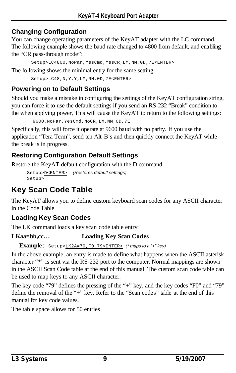### **Changing Configuration**

You can change operating parameters of the KeyAT adapter with the LC command. The following example shows the baud rate changed to 4800 from default, and enabling the "CR pass-through mode":

Setup>LC4800,NoPar,YesCmd,YesCR,LM,NM,0D,7E<ENTER>

The following shows the minimal entry for the same setting:

Setup>LC48,N,Y,Y,LM,NM,0D,7E<ENTER>

### **Powering on to Default Settings**

Should you make a mistake in configuring the settings of the KeyAT configuration string, you can force it to use the default settings if you send an RS-232 "Break" condition to the when applying power, This will cause the KeyAT to return to the following settings:

```
 9600,NoPar,YesCmd,NoCR,LM,NM,0D,7E
```
Specifically, this will force it operate at 9600 baud with no parity. If you use the application "Tera Term", send ten Alt-B's and then quickly connect the KeyAT while the break is in progress.

### **Restoring Configuration Default Settings**

Restore the KeyAT default configuration with the D command:

Setup>D<ENTER> *(Restores default settings)* Setup>

# **Key Scan Code Table**

The KeyAT allows you to define custom keyboard scan codes for any ASCII character in the Code Table.

### **Loading Key Scan Codes**

The LK command loads a key scan code table entry:

#### **LKaa=bb,cc… Loading Key Scan Codes**

**Example** : Setup>LK2A=79,F0,79<ENTER> *(\* maps to a "+" key)*

In the above example, an entry is made to define what happens when the ASCII asterisk character "\*" is sent via the RS-232 port to the computer. Normal mappings are shown in the ASCII Scan Code table at the end of this manual. The custom scan code table can be used to map keys to any ASCII character.

The key code "79" defines the pressing of the "+" key, and the key codes "F0" and "79" define the removal of the "+" key. Refer to the "Scan codes" table at the end of this manual for key code values.

The table space allows for 50 entries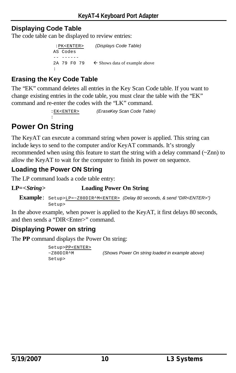#### **Displaying Code Table**

The code table can be displayed to review entries:

```
 :PK<ENTER> (Displays Code Table)
AS Codes
-- ------
2A 79 F0 79 \leftarrow Shows data of example above
:
```
### **Erasing the Key Code Table**

:

The "EK" command deletes all entries in the Key Scan Code table. If you want to change existing entries in the code table, you must clear the table with the "EK" command and re-enter the codes with the "LK" command.

:EK<ENTER> *(EraseKey Scan Code Table)*

# **Power On String**

The KeyAT can execute a command string when power is applied. This string can include keys to send to the computer and/or KeyAT commands. It's strongly recommended when using this feature to start the string with a delay command (~Znn) to allow the KeyAT to wait for the computer to finish its power on sequence.

### **Loading the Power ON String**

The LP command loads a code table entry:

#### **LP=<***String***> Loading Power On String**

**Example** : Setup>LP=~Z80DIR^M<ENTER> *(Delay 80 seconds, & send "DIR<ENTER>")* Setup>

In the above example, when power is applied to the KeyAT, it first delays 80 seconds, and then sends a "DIR<Enter>" command.

### **Displaying Power on string**

The **PP** command displays the Power On string:

```
Setup>PP<ENTER>
~Z80DIR^M (Shows Power On string loaded in example above)
Setup>
```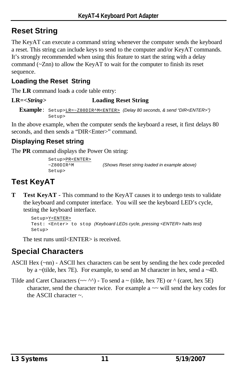# **Reset String**

The KeyAT can execute a command string whenever the computer sends the keyboard a reset. This string can include keys to send to the computer and/or KeyAT commands. It's strongly recommended when using this feature to start the string with a delay command (~Znn) to allow the KeyAT to wait for the computer to finish its reset sequence.

### **Loading the Reset String**

The **LR** command loads a code table entry:

#### **LR=<***String***> Loading Reset String**

```
Example : Setup>LR=~Z80DIR^M<ENTER> (Delay 80 seconds, & send "DIR<ENTER>")
           Setup>
```
In the above example, when the computer sends the keyboard a reset, it first delays 80 seconds, and then sends a "DIR<Enter>" command.

### **Displaying Reset string**

The **PR** command displays the Power On string:

```
Setup>PR<ENTER>
Setup>
```
~Z80DIR^M *(Shows Reset string loaded in example above)*

# **Test KeyAT**

**T Test KeyAT** - This command to the KeyAT causes it to undergo tests to validate the keyboard and computer interface. You will see the keyboard LED's cycle, testing the keyboard interface.

```
Setup>Y<ENTER>
Test: <Enter> to stop (Keyboard LEDs cycle, pressing <ENTER> halts test)
Setup>
```
The test runs until<ENTER> is received.

# **Special Characters**

- ASCII Hex (~nn) ASCII hex characters can be sent by sending the hex code preceded by a  $\sim$ (tilde, hex 7E). For example, to send an M character in hex, send a  $\sim$ 4D.
- Tilde and Caret Characters ( $\sim \sim \sim$ ) To send a  $\sim$  (tilde, hex 7E) or  $\sim$  (caret, hex 5E) character, send the character twice. For example  $a \sim w$  will send the key codes for the ASCII character ~.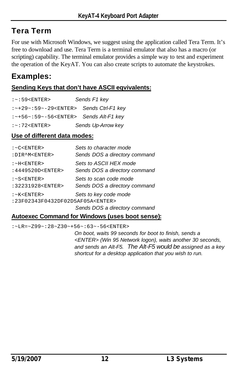### **Tera Term**

For use with Microsoft Windows, we suggest using the application called Tera Term. It's free to download and use. Tera Term is a terminal emulator that also has a macro (or scripting) capability. The terminal emulator provides a simple way to test and experiment the operation of the KeyAT. You can also create scripts to automate the keystrokes.

### **Examples:**

#### **Sending Keys that don't have ASCII eqvivalents:**

| $:-:59<$ ENTER>                                                      | Sends F1 key       |
|----------------------------------------------------------------------|--------------------|
| $:$ $\sim$ +29 $\sim$ : 59 $\sim$ -29 $\lt$ ENTER> Sends Ctrl-F1 key |                    |
| $:$ $\sim$ +56 $\sim$ :59 $\sim$ -56 $\lt$ ENTER> Sends Alt-F1 key   |                    |
| $:-:72<$ ENTER>                                                      | Sends Up-Arrow key |

#### **Use of different data modes:**

| : <c><b>ENTER</b></c>                      | Sets to character mode        |
|--------------------------------------------|-------------------------------|
| : DIR^M <enter></enter>                    | Sends DOS a directory command |
| $:-H < ENTER$                              | Sets to ASCII HEX mode        |
| : 4449520D <enter></enter>                 | Sends DOS a directory command |
| $: $                                       | Sets to scan code mode        |
| : 32231928 <enter></enter>                 | Sends DOS a directory command |
| $:$ $\sim$ K $<$ ENTER $>$                 | Sets to key code mode         |
| : 23F02343F0432DF02D5AF05A <enter></enter> |                               |
|                                            | Sends DOS a directory command |

#### **Autoexec Command for Windows (uses boot sense):**

:~LR=~Z99~:28~Z30~+56~:63~-56<ENTER>

*On boot, waits 99 seconds for boot to finish, sends a <ENTER> (Win 95 Network logon), waits another 30 seconds, and sends an Alt-F5. The Alt-F5 would be assigned as a key shortcut for a desktop application that you wish to run.*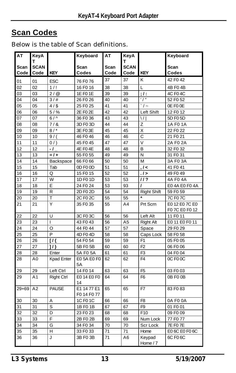### **Scan Codes**

Below is the table of Scan definitions.

| <b>AT</b>    | KeyA                |                   | Keyboard                   | АT           | KeyA                |                        | Keyboard        |
|--------------|---------------------|-------------------|----------------------------|--------------|---------------------|------------------------|-----------------|
|              | т                   |                   |                            |              | т                   |                        |                 |
| Scan<br>Code | <b>SCAN</b><br>Code | <b>KEY</b>        | Scan<br>Codes              | Scan<br>Code | <b>SCAN</b><br>Code | <b>KEY</b>             | Scan<br>Codes   |
| 01           | 01                  | ESC               | 76 F0 76                   | 37           | 37                  | K                      | 42 F0 42        |
| 02           | 02                  | 1/!               | 16 F0 16                   | 38           | 38                  | L                      | 4B F04B         |
| 03           | 03                  | 2/@               | 1E F0 1E                   | 39           | 39                  | ; I:                   | 4C F0 4C        |
| 04           | 04                  | 3/#               | 26 F0 26                   | 40           | 40                  | $\overline{1}$         | 52 F0 52        |
| 05           | 05                  | 4/                | 25 F0 25                   | 41           | 41                  | $\bar{\cdot}$ / $\sim$ | OE FO OE        |
| 06           | 06                  | $5/$ %            | 2E F0 2E                   | 42           | 42                  | Left Shift             | 12 F0 12        |
| 07           | 07                  | $6/^$             | 36 F0 36                   | 43           | 43                  | $\setminus$            | 5D F0 5D        |
| 08           | 08                  | 7/8               | 3D F0 3D                   | 44           | 44                  | Ζ                      | 1A F0 1A        |
| 09           | 09                  | 8/                | 3E F0 3E                   | 45           | 45                  | X                      | 22 F0 22        |
| 10           | 10                  | 9/                | 46 F0 46                   | 46           | 46                  | $\mathsf{C}$           | 21 F0 21        |
| 11           | 11                  | 0/                | 45 F0 45                   | 47           | 47                  | V                      | 2A F0 2A        |
| 12           | 12                  | - 1               | 4E F04E                    | 48           | 48                  | B                      | 32 F0 32        |
| 13           | 13                  | $= 1 +$           | 55 F0 55                   | 49           | 49                  | N                      | 31 F0 31        |
| 14           | 14                  | Backspace         | 66 F0 66                   | 50           | 50                  | M                      | 3A F0 3A        |
| 15           | 15                  | Tab               | OD FOOD                    | 51           | 51                  | , I <                  | 41 F0 41        |
| 16           | 16                  | Q                 | 15 F0 15                   | 52           | 52                  | .1 >                   | 49 F0 49        |
| 17           | 17                  | W                 | 1D F0 1D                   | 53           | 53                  | 11?                    | 4A F0 4A        |
| 18           | 18                  | E                 | 24 F0 24                   | 53           | 93                  | ı                      | E0 4A E0 F0 4A  |
| 19           | 19                  | R                 | 2D F0 2D                   | 54           | 54                  | <b>Right Shift</b>     | 59 F0 59        |
| 20           | 20                  | T                 | 2C F0 2C                   | 55           | 55                  |                        | 7C F0 7C        |
| 21           | 21                  | Y                 | 35 F0 35                   | 55           | A4                  | Prt Scrn               | E0 12 E0 7C E0  |
|              |                     |                   |                            |              |                     |                        | F07C E0 F012    |
| 22           | 22                  | U                 | 3C F0 3C                   | 56           | 56                  | Left Alt               | 11 F0 11        |
| 23           | 23                  | I                 | 43 F0 43                   | 56           | A5                  | <b>Right Alt</b>       | E0 11 E0 F0 11  |
| 24           | 24                  | O                 | 44 F0 44                   | 57           | 57                  | Space                  | 29 F0 29        |
| 25           | 25                  | P                 | 4D F0 4D                   | 58           | 58                  | Caps Lock              | 58 F0 58        |
| 26           | 26                  | 11                | 54 F0 54                   | 59           | 59                  | F <sub>1</sub>         | 05 FO 05        |
| 27           | 27                  | 1/3               | 5B F0 5B                   | 60           | 60                  | F <sub>2</sub>         | 06 F0 06        |
| 28           | 28                  | Enter             | 5A F0 5A                   | 61           | 61                  | F <sub>3</sub>         | 04 F0 04        |
| 28           | A0                  | Kpad Enter        | E0 5A E0 F0<br>5A          | 62           | 62                  | F <sub>4</sub>         | OC FOOC         |
| 29           | 29                  | Left Ctrl         | 14 F0 14                   | 63           | 63                  | F <sub>5</sub>         | 03 F0 03        |
| 29           | A <sub>1</sub>      | <b>Right Ctrl</b> | E0 14 E0 F0<br>14          | 64           | 64                  | F <sub>6</sub>         | 0B FO 0B        |
| $29 + 69$    | A2                  | <b>PAUSE</b>      | E1 14 77 E1<br>F0 14 F0 77 | 65           | 65                  | F7                     | 83 F0 83        |
| 30           | 30                  | Α                 | 1C F0 1C                   | 66           | 66                  | F <sub>8</sub>         | 0A F0 0A        |
| 31           | 31                  | S                 | 1B F0 1B                   | 67           | 67                  | F <sub>9</sub>         | 01 F0 01        |
| 32           | 32                  | D                 | 23 F0 23                   | 68           | 68                  | F <sub>10</sub>        | 09 FO 09        |
| 33           | 33                  | F                 | 2B F0 2B                   | 69           | 69                  | Num Lock               | 77 F0 77        |
| 34           | 34                  | G                 | 34 F0 34                   | 70           | 70                  | Scr Lock               | <b>7E F0 7E</b> |
| 35           | 35                  | Н                 | 33 F0 33                   | 71           | 71                  | Home                   | E0 6C E0 F0 6C  |
| 36           | 36                  | J                 | 3B F0 3B                   | 71           | A6<br>Keypad        |                        | 6C F0 6C        |
|              |                     |                   |                            |              |                     | Home / 7               |                 |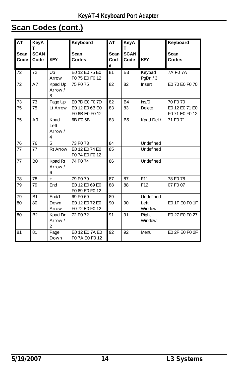# **Scan Codes (cont.)**

| <b>AT</b><br><b>Scan</b><br>Code | KeyA<br>т<br><b>SCAN</b><br>Code | <b>KEY</b>                   | Keyboard<br>Scan<br>Codes        | AT<br><b>Scan</b><br>Cod<br>е | KeyA<br>т<br><b>SCAN</b><br>Code | <b>KEY</b>          | Keyboard<br>Scan<br>Codes        |
|----------------------------------|----------------------------------|------------------------------|----------------------------------|-------------------------------|----------------------------------|---------------------|----------------------------------|
| 72                               | 72                               | Up<br>Arrow                  | E0 12 E0 75 E0<br>F075 E0 F012   | 81                            | B <sub>3</sub>                   | Keypad<br>PgDn $/3$ | <b>7A F0 7A</b>                  |
| 72                               | A7                               | Kpad Up<br>Arrow /<br>8      | 75 F0 75                         | 82                            | 82                               | Insert              | E0 70 E0 F0 70                   |
| 73                               | 73                               | Page Up                      | E0 7D E0 F0 7D                   | 82                            | <b>B4</b>                        | Ins/0               | 70 F0 70                         |
| 75                               | 75                               | Lt Arrow                     | E0 12 E0 6B E0<br>F0 6B E0 F0 12 | 83                            | 83                               | <b>Delete</b>       | E0 12 E0 71 E0<br>F0 71 E0 F0 12 |
| 75                               | A <sub>9</sub>                   | Kpad<br>Left<br>Arrow /<br>4 | 6B F0 6B                         | 83                            | <b>B5</b>                        | Kpad Del / .        | 71 F0 71                         |
| 76                               | 76                               | 5                            | 73 F0 73                         | 84                            |                                  | Undefined           |                                  |
| 77                               | 77                               | <b>Rt Arrow</b>              | E0 12 E0 74 E0<br>F074 E0 F012   | 85                            |                                  | Undefined           |                                  |
| 77                               | <b>B0</b>                        | Kpad Rt<br>Arrow /<br>6      | 74 F0 74                         | 86                            |                                  | Undefined           |                                  |
| 78                               | 78                               | $\ddot{}$                    | 79 F0 79                         | 87                            | 87                               | F11                 | 78 F0 78                         |
| 79                               | 79                               | End                          | E0 12 E0 69 E0<br>F0 69 E0 F0 12 | 88                            | 88                               | F <sub>12</sub>     | 07 F0 07                         |
| 79                               | <b>B1</b>                        | End/1                        | 69 F0 69                         | 89                            |                                  | Undefined           |                                  |
| 80                               | 80                               | Down<br>Arrow                | E0 12 E0 72 E0<br>F072 E0 F012   | 90                            | 90                               | Left<br>Window      | E0 1F E0 F0 1F                   |
| 80                               | B <sub>2</sub>                   | Kpad Dn<br>Arrow /<br>2      | 72 F0 72                         | 91                            | 91                               | Right<br>Window     | E0 27 E0 F0 27                   |
| 81                               | 81                               | Page<br>Down                 | E0 12 E0 7A E0<br>F07A E0 F012   | 92                            | 92                               | Menu                | E0 2F E0 F0 2F                   |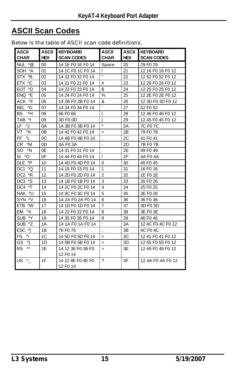# **ASCII Scan Codes**

| <b>ASCII</b><br><b>CHAR</b>            | <b>ASCII</b><br><b>HEX</b> | <b>KEYBOARD</b><br><b>SCAN CODES</b>      | <b>ASCII</b><br><b>CHAR</b> | <b>ASCII</b><br><b>HEX</b> | <b>KEYBOARD</b><br><b>SCAN CODES</b> |
|----------------------------------------|----------------------------|-------------------------------------------|-----------------------------|----------------------------|--------------------------------------|
| NUL ^@                                 | 00                         | 14 1E F0 1E F0 14                         | Space                       | 20                         | 29 F0 29                             |
| SOH ^A                                 | 01                         | 14 1C F0 1C F0 14                         | Ţ                           | 21                         | 12 16 F0 16 F0 12                    |
| STX ^B                                 | 02                         | 14 32 F0 32 F0 14                         | $\mathbf{H}$                | 22                         | 12 52 F0 52 F0 12                    |
| ETX ^C                                 | 03                         | 14 21 F0 21 F0 14                         | #                           | 23                         | 12 26 F0 26 F0 12                    |
| EOT ^D                                 | 04                         | 14 23 F0 23 F0 14                         | \$                          | 24                         | 12 25 F0 25 F0 12                    |
| ENQ ^E                                 | 05                         | 14 24 F0 24 F0 14                         | %                           | 25                         | 12 2E F0 2E F0 12                    |
| ACK ^F                                 | 06                         | 14 2B F0 2B F0 14                         | &                           | 26                         | 12 3D F0 3D F0 12                    |
| BEL ^G                                 | 07                         | 14 34 F0 34 F0 14                         | t.                          | 27                         | 52 F <sub>0</sub> 52                 |
| $\overline{H}$<br><b>BS</b>            | 08                         | 66 F0 66                                  | $\overline{(}$              | 28                         | 12 46 F0 46 F0 12                    |
| TAB <sup>N</sup>                       | 09                         | OD FO OD                                  | $\lambda$                   | 29                         | 12 45 F0 45 F0 12                    |
| LF N                                   | 0A                         | 14 3B F0 3B F0 14                         | $\star$                     | 2A                         | 7C F0 7C                             |
| VT.<br>^K                              | 0 <sub>B</sub>             | 14 42 F0 42 F0 14                         | $\ddot{}$                   | 2B                         | 79 F0 79                             |
| FF <sub>N</sub>                        | <sub>0</sub> C             | 14 4B F0 4B F0 14                         |                             | 2C                         | 41 F0 41                             |
| CR M                                   | 0D                         | 3A F0 3A                                  | ÷,                          | 2D                         | 7B F0 7B                             |
| $\wedge$ N<br>SO.                      | 0E                         | 14 31 F0 31 F0 14                         | $\ddot{\phantom{a}}$        | 2E                         | 49 F0 49                             |
| $SI$ $\sim$ $O$                        | 0F                         | 14 44 F0 44 F0 14                         | $\overline{1}$              | 2F                         | 4A F04A                              |
| DLE ^P                                 | 10                         | 14 4D F0 4D F0 14                         | 0                           | 30                         | 45 F0 45                             |
| DC1 ^Q                                 | 11                         | 14 15 F0 15 F0 14                         | 1                           | 31                         | 16 F0 16                             |
| DC2 ^R                                 | 12                         | 14 2D F0 2D F0 14                         | $\overline{2}$              | 32                         | 1E F0 1E                             |
| DC3 ^S                                 | 13                         | 14 1B F0 1B F0 14                         | 3                           | 33                         | 26 F0 26                             |
| DC4 ^T                                 | 14                         | 14 2C F0 2C F0 14                         | 4                           | 34                         | 25 F0 25                             |
| NAK ^U                                 | 15                         | 14 3C F0 3C F0 14                         | 5                           | 35                         | 2E F0 2E                             |
| SYN ^V                                 | 16                         | 14 2A F0 2A F0 14                         | 6                           | 36                         | 36 F <sub>0</sub> 36                 |
| ETB ^W                                 | 17                         | 14 1D F0 1D F0 14                         | $\overline{7}$              | 37                         | 3D F0 3D                             |
| EM ^X                                  | 18                         | 14 22 F0 22 F0 14                         | 8                           | 38                         | 3E F0 3E                             |
| SUB ^Y                                 | 19                         | 14 35 F0 35 F0 14                         | 9                           | 39                         | 46 F0 46                             |
| SUB ^Z                                 | 1A                         | 14 1A F0 1A F0 14                         | $\ddot{\phantom{a}}$        | 3A                         | 12 4C F0 4C F0 12                    |
| ESC ^[                                 | 1B                         | 76 F0 76                                  | $\vdots$                    | 3B                         | 4C F0 4C                             |
| FS N                                   | 1 <sup>C</sup>             | 14 5D F0 5D F0 14                         | $\,<\,$                     | 3C                         | 12 41 F0 41 F0 12                    |
| GS<br>시                                | 1D                         | 14 5B F0 5B F0 14                         | $=$                         | 3D                         | 12 55 F0 55 F0 12                    |
| $\boldsymbol{\mathsf{M}}$<br><b>RS</b> | 1E                         | 14 12 36 F0 36 F0<br>12 F <sub>0</sub> 14 | $\geq$                      | 3E                         | 12 49 F0 49 F0 12                    |
| US ^                                   | 1F                         | 14 12 4E F0 4E F0<br>12 F0 14             | $\gamma$                    | 3F                         | 12 4A F0 4A F0 12                    |

Below is the table of ASCII scan code definitions.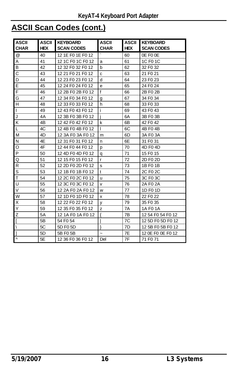# **ASCII Scan Codes (cont.)**

| ASCII       | <b>ASCII</b> | <b>KEYBOARD</b>      | <b>ASCII</b> | <b>ASCII</b> | <b>KEYBOARD</b>      |
|-------------|--------------|----------------------|--------------|--------------|----------------------|
| <b>CHAR</b> | <b>HEX</b>   | <b>SCAN CODES</b>    | <b>CHAR</b>  | <b>HEX</b>   | <b>SCAN CODES</b>    |
| @           | 40           | 12 1E F0 1E F0 12    |              | 60           | OE FO OE             |
| Α           | 41           | 12 1C F0 1C F0 12    | a            | 61           | 1C F0 1C             |
| В           | 42           | 12 32 F0 32 F0 12    | b            | 62           | 32 F <sub>0</sub> 32 |
| C           | 43           | 12 21 F0 21 F0 12    | C            | 63           | 21 F0 21             |
| $\mathsf D$ | 44           | 12 23 F0 23 F0 12    | d            | 64           | 23 F <sub>0</sub> 23 |
| E           | 45           | 12 24 F0 24 F0 12    | e            | 65           | 24 F <sub>0</sub> 24 |
| F           | 46           | 12 2B F0 2B F0 12    | $\mathsf{f}$ | 66           | 2B F0 2B             |
| G           | 47           | 12 34 F0 34 F0 12    | g            | 67           | 34 F <sub>0</sub> 34 |
| н           | 48           | 12 33 F0 33 F0 12    | h            | 68           | 33 FO 33             |
| I           | 49           | 12 43 F0 43 F0 12    | Ĺ            | 69           | 43 F <sub>0</sub> 43 |
| J           | 4A           | 12 3B F0 3B F0 12    | i            | 6A           | 3B F0 3B             |
| Κ           | 4B           | 12 42 F0 42 F0 12    | k            | 6B           | 42 F <sub>0</sub> 42 |
| L           | 4C           | 12 4B F0 4B F0 12    | $\mathbf{I}$ | 6C           | 4B F0 4B             |
| М           | 4D           | 12 3A F0 3A F0 12    | m            | 6D           | 3A FO 3A             |
| N           | 4E           | 12 31 F0 31 F0 12    | n            | 6E           | 31 F0 31             |
| O           | 4F           | 12 44 F0 44 F0 12    | р            | 70           | 4D F0 4D             |
| P           | 50           | 12 4D F0 4D F0 12    | q            | 71           | 15 F <sub>0</sub> 15 |
| Q           | 51           | 12 15 F0 15 F0 12    | r            | 72           | 2D F0 2D             |
| R           | 52           | 12 2D F0 2D F0 12    | s            | 73           | 1B F0 1B             |
| S           | 53           | 12 1B F0 1B F0 12    | t            | 74           | 2C F <sub>0</sub> 2C |
| T           | 54           | 12 2C F0 2C F0 12    | u            | 75           | 3C F <sub>0</sub> 3C |
| U           | 55           | 12 3C F0 3C F0 12    | v            | 76           | 2A F <sub>0</sub> 2A |
| V           | 56           | 12 2A F0 2A F0 12    | w            | 77           | 1D F <sub>0</sub> 1D |
| W           | 57           | 12 1D F0 1D F0 12    | x            | 78           | 22 F <sub>0</sub> 22 |
| Χ           | 58           | 12 22 F0 22 F0 12    | y            | 79           | 35 FO 35             |
| Υ           | 59           | 12 35 F0 35 F0 12    | Z            | 7A           | 1A F0 1A             |
| Ζ           | <b>5A</b>    | 12 1A F0 1A F0 12    | {            | 7B           | 12 54 F0 54 F0 12    |
| I           | 5B           | 54 F <sub>0</sub> 54 |              | 7C           | 12 5D F0 5D F0 12    |
| Λ           | 5C           | 5D F <sub>0</sub> 5D | ł            | 7D           | 12 5B F0 5B F0 12    |
|             | 5D           | 5B F0 5B             | $\tilde{}$   | 7E           | 12 0E FO 0E FO 12    |
| $\wedge$    | 5E           | 12 36 F0 36 F0 12    | Del          | 7F           | 71 F0 71             |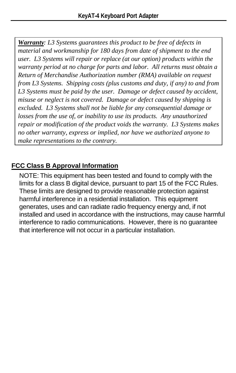*Warranty: L3 Systems guarantees this product to be free of defects in material and workmanship for 180 days from date of shipment to the end user. L3 Systems will repair or replace (at our option) products within the warranty period at no charge for parts and labor. All returns must obtain a Return of Merchandise Authorization number (RMA) available on request from L3 Systems. Shipping costs (plus customs and duty, if any) to and from L3 Systems must be paid by the user. Damage or defect caused by accident, misuse or neglect is not covered. Damage or defect caused by shipping is excluded. L3 Systems shall not be liable for any consequential damage or losses from the use of, or inability to use its products. Any unauthorized repair or modification of the product voids the warranty. L3 Systems makes no other warranty, express or implied, nor have we authorized anyone to make representations to the contrary.*

#### **FCC Class B Approval Information**

NOTE: This equipment has been tested and found to comply with the limits for a class B digital device, pursuant to part 15 of the FCC Rules. These limits are designed to provide reasonable protection against harmful interference in a residential installation. This equipment generates, uses and can radiate radio frequency energy and, if not installed and used in accordance with the instructions, may cause harmful interference to radio communications. However, there is no guarantee that interference will not occur in a particular installation.